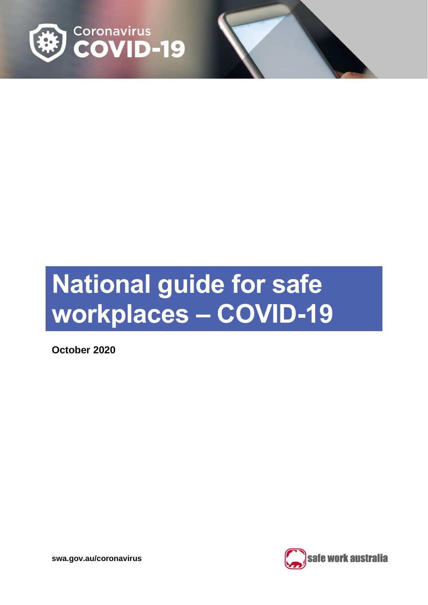

# **National guide for safe workplaces – COVID-19**

**October 2020**

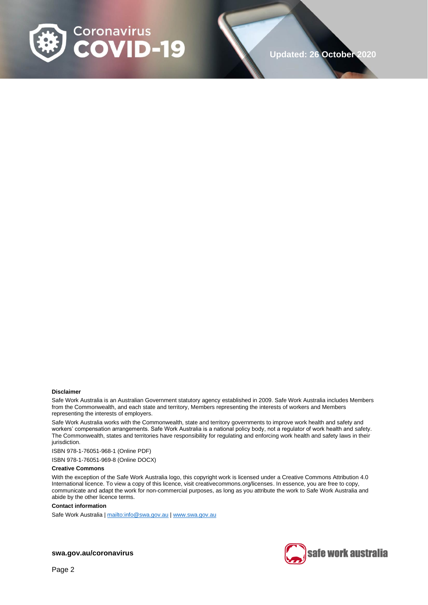

#### **Disclaimer**

Safe Work Australia is an Australian Government statutory agency established in 2009. Safe Work Australia includes Members from the Commonwealth, and each state and territory, Members representing the interests of workers and Members representing the interests of employers.

Safe Work Australia works with the Commonwealth, state and territory governments to improve work health and safety and workers' compensation arrangements. Safe Work Australia is a national policy body, not a regulator of work health and safety. The Commonwealth, states and territories have responsibility for regulating and enforcing work health and safety laws in their jurisdiction.

ISBN 978-1-76051-968-1 (Online PDF)

ISBN 978-1-76051-969-8 (Online DOCX)

#### **Creative Commons**

With the exception of the Safe Work Australia logo, this copyright work is licensed under a Creative Commons Attribution 4.0 International licence. To view a copy of this licence, visit creativecommons.org/licenses. In essence, you are free to copy, communicate and adapt the work for non-commercial purposes, as long as you attribute the work to Safe Work Australia and abide by the other licence terms.

#### **Contact information**

Safe Work Australia [| mailto:info@swa.gov.au](mailto:info@swa.gov.au) | [www.swa.gov.au](http://swa.hosts.application.enet/business-support/Communication/Documents/www.swa.gov.au)

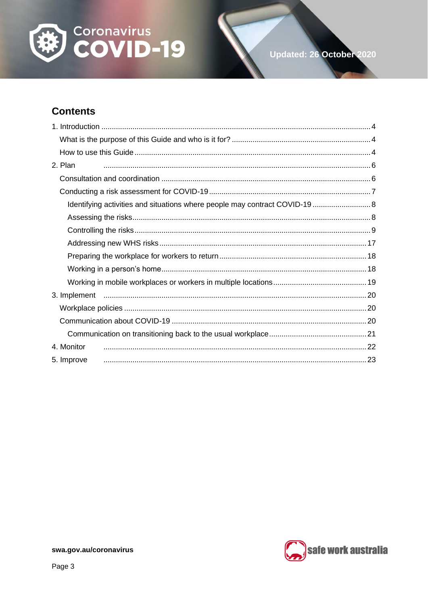

# **Contents**

| 2. Plan                                                                     |  |
|-----------------------------------------------------------------------------|--|
|                                                                             |  |
|                                                                             |  |
| Identifying activities and situations where people may contract COVID-19  8 |  |
|                                                                             |  |
|                                                                             |  |
|                                                                             |  |
|                                                                             |  |
|                                                                             |  |
|                                                                             |  |
|                                                                             |  |
|                                                                             |  |
|                                                                             |  |
|                                                                             |  |
| 4. Monitor                                                                  |  |
| 5. Improve                                                                  |  |

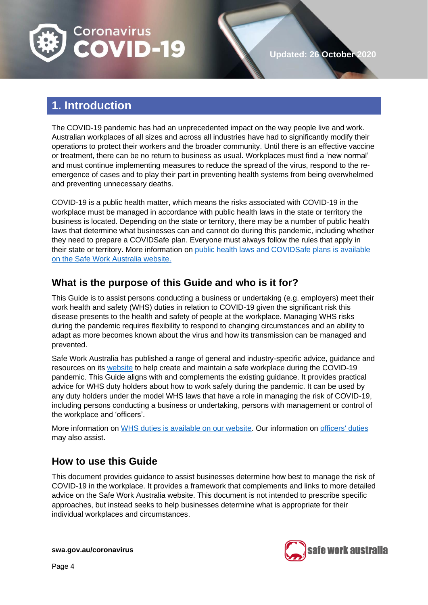

# <span id="page-3-0"></span>**1. Introduction**

The COVID-19 pandemic has had an unprecedented impact on the way people live and work. Australian workplaces of all sizes and across all industries have had to significantly modify their operations to protect their workers and the broader community. Until there is an effective vaccine or treatment, there can be no return to business as usual. Workplaces must find a 'new normal' and must continue implementing measures to reduce the spread of the virus, respond to the reemergence of cases and to play their part in preventing health systems from being overwhelmed and preventing unnecessary deaths.

COVID-19 is a public health matter, which means the risks associated with COVID-19 in the workplace must be managed in accordance with public health laws in the state or territory the business is located. Depending on the state or territory, there may be a number of public health laws that determine what businesses can and cannot do during this pandemic, including whether they need to prepare a COVIDSafe plan. Everyone must always follow the rules that apply in their state or territory. More information on public health laws and [COVIDSafe plans is available](https://www.safeworkaustralia.gov.au/covid-19-information-workplaces/other-resources/covid-19-public-health-directions-and-covidsafe)  on [the Safe Work Australia](https://www.safeworkaustralia.gov.au/covid-19-information-workplaces/other-resources/covid-19-public-health-directions-and-covidsafe) website.

### <span id="page-3-1"></span>**What is the purpose of this Guide and who is it for?**

This Guide is to assist persons conducting a business or undertaking (e.g. employers) meet their work health and safety (WHS) duties in relation to COVID-19 given the significant risk this disease presents to the health and safety of people at the workplace. Managing WHS risks during the pandemic requires flexibility to respond to changing circumstances and an ability to adapt as more becomes known about the virus and how its transmission can be managed and prevented.

Safe Work Australia has published a range of general and industry-specific advice, guidance and resources on its [website](https://www.safeworkaustralia.gov.au/) to help create and maintain a safe workplace during the COVID-19 pandemic. This Guide aligns with and complements the existing guidance. It provides practical advice for WHS duty holders about how to work safely during the pandemic. It can be used by any duty holders under the model WHS laws that have a role in managing the risk of COVID-19, including persons conducting a business or undertaking, persons with management or control of the workplace and 'officers'.

More information on [WHS duties is available on our website.](https://www.safeworkaustralia.gov.au/covid-19-information-workplaces/industry-information/general-industry-information/duties-under-whs) Our information on [officers' duties](https://www.safeworkaustralia.gov.au/officer-duties-covid-19) may also assist.

## <span id="page-3-2"></span>**How to use this Guide**

This document provides guidance to assist businesses determine how best to manage the risk of COVID-19 in the workplace. It provides a framework that complements and links to more detailed advice on the Safe Work Australia website. This document is not intended to prescribe specific approaches, but instead seeks to help businesses determine what is appropriate for their individual workplaces and circumstances.

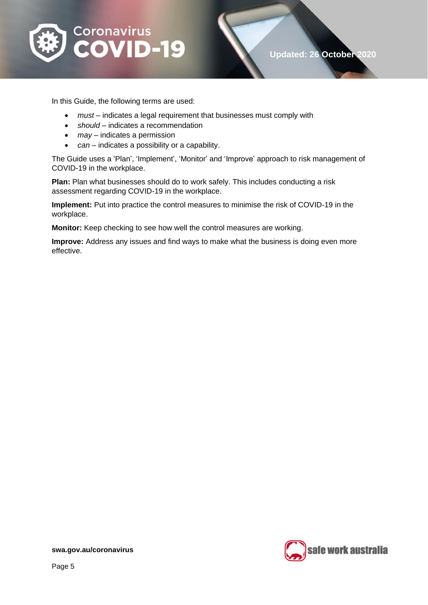

In this Guide, the following terms are used:

- *must* indicates a legal requirement that businesses must comply with
- *should* indicates a recommendation
- *may* indicates a permission
- *can* indicates a possibility or a capability.

The Guide uses a 'Plan', 'Implement', 'Monitor' and 'Improve' approach to risk management of COVID-19 in the workplace.

**Plan:** Plan what businesses should do to work safely. This includes conducting a risk assessment regarding COVID-19 in the workplace.

**Implement:** Put into practice the control measures to minimise the risk of COVID-19 in the workplace.

**Monitor:** Keep checking to see how well the control measures are working.

**Improve:** Address any issues and find ways to make what the business is doing even more effective.

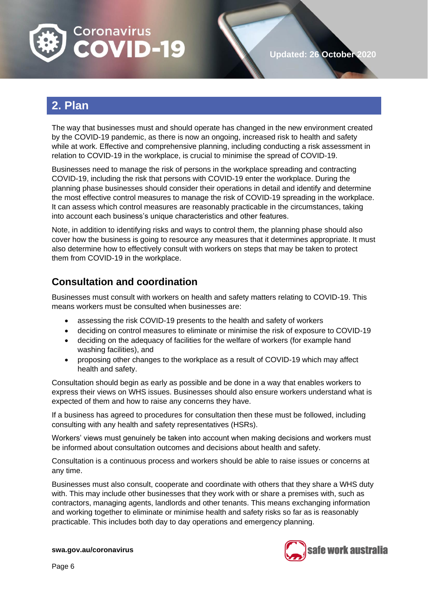

# <span id="page-5-0"></span>**2. Plan**

The way that businesses must and should operate has changed in the new environment created by the COVID-19 pandemic, as there is now an ongoing, increased risk to health and safety while at work. Effective and comprehensive planning, including conducting a risk assessment in relation to COVID-19 in the workplace, is crucial to minimise the spread of COVID-19.

Businesses need to manage the risk of persons in the workplace spreading and contracting COVID-19, including the risk that persons with COVID-19 enter the workplace. During the planning phase businesses should consider their operations in detail and identify and determine the most effective control measures to manage the risk of COVID-19 spreading in the workplace. It can assess which control measures are reasonably practicable in the circumstances, taking into account each business's unique characteristics and other features.

Note, in addition to identifying risks and ways to control them, the planning phase should also cover how the business is going to resource any measures that it determines appropriate. It must also determine how to effectively consult with workers on steps that may be taken to protect them from COVID-19 in the workplace.

## <span id="page-5-1"></span>**Consultation and coordination**

Businesses must consult with workers on health and safety matters relating to COVID-19. This means workers must be consulted when businesses are:

- assessing the risk COVID-19 presents to the health and safety of workers
- deciding on control measures to eliminate or minimise the risk of exposure to COVID-19
- deciding on the adequacy of facilities for the welfare of workers (for example hand washing facilities), and
- proposing other changes to the workplace as a result of COVID-19 which may affect health and safety.

Consultation should begin as early as possible and be done in a way that enables workers to express their views on WHS issues. Businesses should also ensure workers understand what is expected of them and how to raise any concerns they have.

If a business has agreed to procedures for consultation then these must be followed, including consulting with any health and safety representatives (HSRs).

Workers' views must genuinely be taken into account when making decisions and workers must be informed about consultation outcomes and decisions about health and safety.

Consultation is a continuous process and workers should be able to raise issues or concerns at any time.

Businesses must also consult, cooperate and coordinate with others that they share a WHS duty with. This may include other businesses that they work with or share a premises with, such as contractors, managing agents, landlords and other tenants. This means exchanging information and working together to eliminate or minimise health and safety risks so far as is reasonably practicable. This includes both day to day operations and emergency planning.

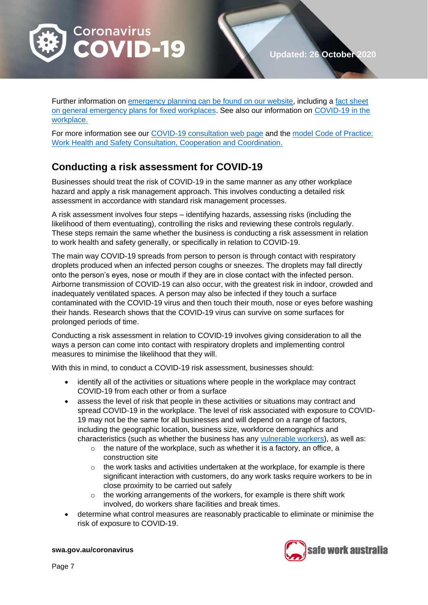

Further information on [emergency planning can be found on our website,](https://www.safeworkaustralia.gov.au/topic/emergency-plans-and-procedures) including a fact sheet [on general emergency plans for fixed workplaces.](https://www.safeworkaustralia.gov.au/doc/emergency-plans-fact-sheet) See also our information on [COVID-19 in the](https://www.safeworkaustralia.gov.au/covid-19-information-workplaces/industry-information/general-industry-information/covid-19-your)  [workplace.](https://www.safeworkaustralia.gov.au/covid-19-information-workplaces/industry-information/general-industry-information/covid-19-your)

For more information see our [COVID-19 consultation web](https://www.safeworkaustralia.gov.au/covid-19-information-workplaces/industry-information/general-industry-information/consultation) page and the [model Code of Practice:](https://www.safeworkaustralia.gov.au/doc/model-code-practice-work-health-and-safety-consultation-cooperation-and-coordination)  [Work Health and Safety Consultation, Cooperation and Coordination.](https://www.safeworkaustralia.gov.au/doc/model-code-practice-work-health-and-safety-consultation-cooperation-and-coordination)

## <span id="page-6-0"></span>**Conducting a risk assessment for COVID-19**

Businesses should treat the risk of COVID-19 in the same manner as any other workplace hazard and apply a risk management approach. This involves conducting a detailed risk assessment in accordance with standard risk management processes.

A risk assessment involves four steps – identifying hazards, assessing risks (including the likelihood of them eventuating), controlling the risks and reviewing these controls regularly. These steps remain the same whether the business is conducting a risk assessment in relation to work health and safety generally, or specifically in relation to COVID-19.

The main way COVID-19 spreads from person to person is through contact with respiratory droplets produced when an infected person coughs or sneezes. The droplets may fall directly onto the person's eyes, nose or mouth if they are in close contact with the infected person. Airborne transmission of COVID-19 can also occur, with the greatest risk in indoor, crowded and inadequately ventilated spaces. A person may also be infected if they touch a surface contaminated with the COVID-19 virus and then touch their mouth, nose or eyes before washing their hands. Research shows that the COVID-19 virus can survive on some surfaces for prolonged periods of time.

Conducting a risk assessment in relation to COVID-19 involves giving consideration to all the ways a person can come into contact with respiratory droplets and implementing control measures to minimise the likelihood that they will.

With this in mind, to conduct a COVID-19 risk assessment, businesses should:

- identify all of the activities or situations where people in the workplace may contract COVID-19 from each other or from a surface
- assess the level of risk that people in these activities or situations may contract and spread COVID-19 in the workplace. The level of risk associated with exposure to COVID-19 may not be the same for all businesses and will depend on a range of factors, including the geographic location, business size, workforce demographics and characteristics (such as whether the business has any [vulnerable workers\)](https://www.safeworkaustralia.gov.au/covid-19-information-workplaces/industry-information/general-industry-information/vulnerable), as well as:
	- $\circ$  the nature of the workplace, such as whether it is a factory, an office, a construction site
	- $\circ$  the work tasks and activities undertaken at the workplace, for example is there significant interaction with customers, do any work tasks require workers to be in close proximity to be carried out safely
	- $\circ$  the working arrangements of the workers, for example is there shift work involved, do workers share facilities and break times.
- determine what control measures are reasonably practicable to eliminate or minimise the risk of exposure to COVID-19.

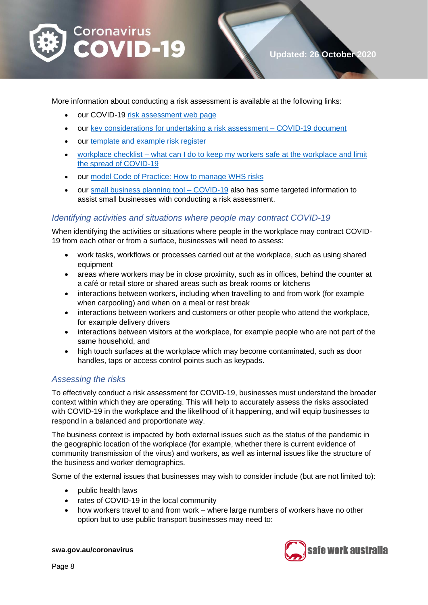

More information about conducting a risk assessment is available at the following links:

- our COVID-19 [risk assessment web](https://www.safeworkaustralia.gov.au/covid-19-information-workplaces/industry-information/general-industry-information/risk-assessment) page
- our [key considerations for undertaking a risk assessment –](https://www.safeworkaustralia.gov.au/doc/key-considerations-undertaking-risk-assessment-covid-19https:/www.safeworkaustralia.gov.au/doc/key-considerations-undertaking-risk-assessment-covid-19) COVID-19 document
- our [template and example risk register](https://www.safeworkaustralia.gov.au/doc/template-and-example-covid-19-risk-register)
- workplace checklist [what can I do to keep my workers safe at the workplace and limit](https://www.safeworkaustralia.gov.au/doc/workplace-checklist-covid-19)  [the spread of COVID-19](https://www.safeworkaustralia.gov.au/doc/workplace-checklist-covid-19)
- our [model Code of Practice: How to manage WHS risks](https://www.safeworkaustralia.gov.au/doc/model-code-practice-how-manage-work-health-and-safety-risks)
- our [small business planning tool –](https://www.safeworkaustralia.gov.au/doc/small-business-planning-tool-covid-19) COVID-19 also has some targeted information to assist small businesses with conducting a risk assessment.

#### <span id="page-7-0"></span>*Identifying activities and situations where people may contract COVID-19*

When identifying the activities or situations where people in the workplace may contract COVID-19 from each other or from a surface, businesses will need to assess:

- work tasks, workflows or processes carried out at the workplace, such as using shared equipment
- areas where workers may be in close proximity, such as in offices, behind the counter at a café or retail store or shared areas such as break rooms or kitchens
- interactions between workers, including when travelling to and from work (for example when carpooling) and when on a meal or rest break
- interactions between workers and customers or other people who attend the workplace, for example delivery drivers
- interactions between visitors at the workplace, for example people who are not part of the same household, and
- high touch surfaces at the workplace which may become contaminated, such as door handles, taps or access control points such as keypads.

#### <span id="page-7-1"></span>*Assessing the risks*

To effectively conduct a risk assessment for COVID-19, businesses must understand the broader context within which they are operating. This will help to accurately assess the risks associated with COVID-19 in the workplace and the likelihood of it happening, and will equip businesses to respond in a balanced and proportionate way.

The business context is impacted by both external issues such as the status of the pandemic in the geographic location of the workplace (for example, whether there is current evidence of community transmission of the virus) and workers, as well as internal issues like the structure of the business and worker demographics.

Some of the external issues that businesses may wish to consider include (but are not limited to):

- public health laws
- rates of COVID-19 in the local community
- how workers travel to and from work where large numbers of workers have no other option but to use public transport businesses may need to:

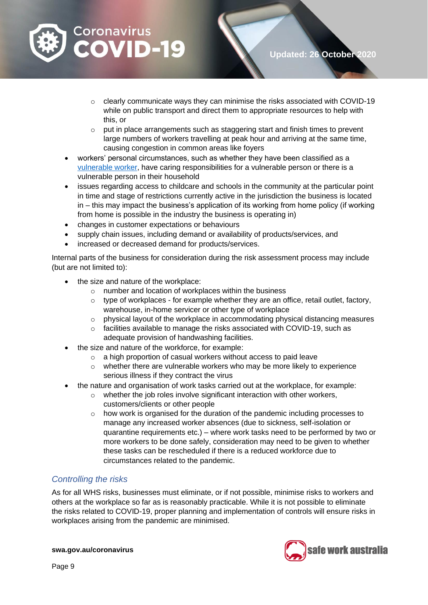

- o clearly communicate ways they can minimise the risks associated with COVID-19 while on public transport and direct them to appropriate resources to help with this, or
- o put in place arrangements such as staggering start and finish times to prevent large numbers of workers travelling at peak hour and arriving at the same time, causing congestion in common areas like foyers
- workers' personal circumstances, such as whether they have been classified as a [vulnerable worker,](https://www.safeworkaustralia.gov.au/covid-19-information-workplaces/industry-information/general-industry-information/vulnerable?tab=tab-toc-worker) have caring responsibilities for a vulnerable person or there is a vulnerable person in their household
- issues regarding access to childcare and schools in the community at the particular point in time and stage of restrictions currently active in the jurisdiction the business is located in – this may impact the business's application of its working from home policy (if working from home is possible in the industry the business is operating in)
- changes in customer expectations or behaviours
- supply chain issues, including demand or availability of products/services, and
- increased or decreased demand for products/services.

Internal parts of the business for consideration during the risk assessment process may include (but are not limited to):

- the size and nature of the workplace:
	- o number and location of workplaces within the business
	- $\circ$  type of workplaces for example whether they are an office, retail outlet, factory, warehouse, in-home servicer or other type of workplace
	- $\circ$  physical layout of the workplace in accommodating physical distancing measures
	- $\circ$  facilities available to manage the risks associated with COVID-19, such as adequate provision of handwashing facilities.
- the size and nature of the workforce, for example:
	- o a high proportion of casual workers without access to paid leave
	- $\circ$  whether there are vulnerable workers who may be more likely to experience serious illness if they contract the virus
- the nature and organisation of work tasks carried out at the workplace, for example:
	- o whether the job roles involve significant interaction with other workers, customers/clients or other people
	- $\circ$  how work is organised for the duration of the pandemic including processes to manage any increased worker absences (due to sickness, self-isolation or quarantine requirements etc.) – where work tasks need to be performed by two or more workers to be done safely, consideration may need to be given to whether these tasks can be rescheduled if there is a reduced workforce due to circumstances related to the pandemic.

#### <span id="page-8-0"></span>*Controlling the risks*

As for all WHS risks, businesses must eliminate, or if not possible, minimise risks to workers and others at the workplace so far as is reasonably practicable. While it is not possible to eliminate the risks related to COVID-19, proper planning and implementation of controls will ensure risks in workplaces arising from the pandemic are minimised.

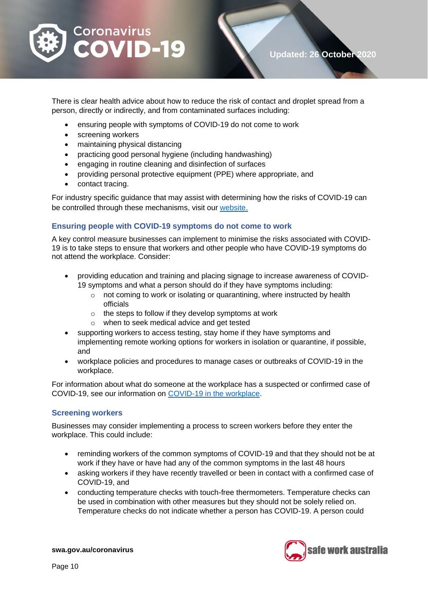

There is clear health advice about how to reduce the risk of contact and droplet spread from a person, directly or indirectly, and from contaminated surfaces including:

- ensuring people with symptoms of COVID-19 do not come to work
- screening workers
- maintaining physical distancing
- practicing good personal hygiene (including handwashing)
- engaging in routine cleaning and disinfection of surfaces
- providing personal protective equipment (PPE) where appropriate, and
- contact tracing.

For industry specific guidance that may assist with determining how the risks of COVID-19 can be controlled through these mechanisms, visit our [website](https://www.safeworkaustralia.gov.au/covid-19-information-workplaces/industry-information-covid-19).

#### **Ensuring people with COVID-19 symptoms do not come to work**

A key control measure businesses can implement to minimise the risks associated with COVID-19 is to take steps to ensure that workers and other people who have COVID-19 symptoms do not attend the workplace. Consider:

- providing education and training and placing signage to increase awareness of COVID-19 symptoms and what a person should do if they have symptoms including:
	- o not coming to work or isolating or quarantining, where instructed by health officials
	- o the steps to follow if they develop symptoms at work
	- o when to seek medical advice and get tested
- supporting workers to access testing, stay home if they have symptoms and implementing remote working options for workers in isolation or quarantine, if possible, and
- workplace policies and procedures to manage cases or outbreaks of COVID-19 in the workplace.

For information about what do someone at the workplace has a suspected or confirmed case of COVID-19, see our information on [COVID-19 in the workplace](https://www.safeworkaustralia.gov.au/covid-19-information-workplaces/industry-information/general-industry-information/covid-19-your).

#### **Screening workers**

Businesses may consider implementing a process to screen workers before they enter the workplace. This could include:

- reminding workers of the common symptoms of COVID-19 and that they should not be at work if they have or have had any of the common symptoms in the last 48 hours
- asking workers if they have recently travelled or been in contact with a confirmed case of COVID-19, and
- conducting temperature checks with touch-free thermometers. Temperature checks can be used in combination with other measures but they should not be solely relied on. Temperature checks do not indicate whether a person has COVID-19. A person could

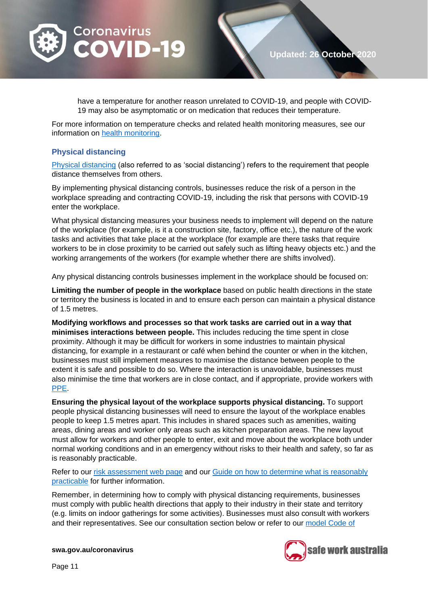

have a temperature for another reason unrelated to COVID-19, and people with COVID-19 may also be asymptomatic or on medication that reduces their temperature.

For more information on temperature checks and related health monitoring measures, see our information on [health monitoring.](https://www.safeworkaustralia.gov.au/covid-19-information-workplaces/industry-information/general-industry-information/health-monitoring)

#### **Physical distancing**

[Physical distancing](https://www.health.gov.au/news/health-alerts/novel-coronavirus-2019-ncov-health-alert/how-to-protect-yourself-and-others-from-coronavirus-covid-19/social-distancing-for-coronavirus-covid-19) (also referred to as 'social distancing') refers to the requirement that people distance themselves from others.

By implementing physical distancing controls, businesses reduce the risk of a person in the workplace spreading and contracting COVID-19, including the risk that persons with COVID-19 enter the workplace.

What physical distancing measures your business needs to implement will depend on the nature of the workplace (for example, is it a construction site, factory, office etc.), the nature of the work tasks and activities that take place at the workplace (for example are there tasks that require workers to be in close proximity to be carried out safely such as lifting heavy objects etc.) and the working arrangements of the workers (for example whether there are shifts involved).

Any physical distancing controls businesses implement in the workplace should be focused on:

**Limiting the number of people in the workplace** based on public health directions in the state or territory the business is located in and to ensure each person can maintain a physical distance of 1.5 metres.

**Modifying workflows and processes so that work tasks are carried out in a way that minimises interactions between people.** This includes reducing the time spent in close proximity. Although it may be difficult for workers in some industries to maintain physical distancing, for example in a restaurant or café when behind the counter or when in the kitchen, businesses must still implement measures to maximise the distance between people to the extent it is safe and possible to do so. Where the interaction is unavoidable, businesses must also minimise the time that workers are in close contact, and if appropriate, provide workers with [PPE.](https://www.safeworkaustralia.gov.au/covid-19-information-workplaces/industry-information/general-industry-information/ppe)

**Ensuring the physical layout of the workplace supports physical distancing.** To support people physical distancing businesses will need to ensure the layout of the workplace enables people to keep 1.5 metres apart. This includes in shared spaces such as amenities, waiting areas, dining areas and worker only areas such as kitchen preparation areas. The new layout must allow for workers and other people to enter, exit and move about the workplace both under normal working conditions and in an emergency without risks to their health and safety, so far as is reasonably practicable.

Refer to our [risk assessment web page](https://www.safeworkaustralia.gov.au/covid-19-information-workplaces/industry-information/general-industry-information/risk-assessment) and our Guide on how to determine what is reasonably [practicable](https://www.safeworkaustralia.gov.au/doc/how-determine-what-reasonably-practicable-meet-health-and-safety-duty) for further information.

Remember, in determining how to comply with physical distancing requirements, businesses must comply with public health directions that apply to their industry in their state and territory (e.g. limits on indoor gatherings for some activities). Businesses must also consult with workers and their representatives. See our consultation section below or refer to our [model Code of](https://www.safeworkaustralia.gov.au/doc/model-code-practice-work-health-and-safety-consultation-cooperation-and-coordination) 

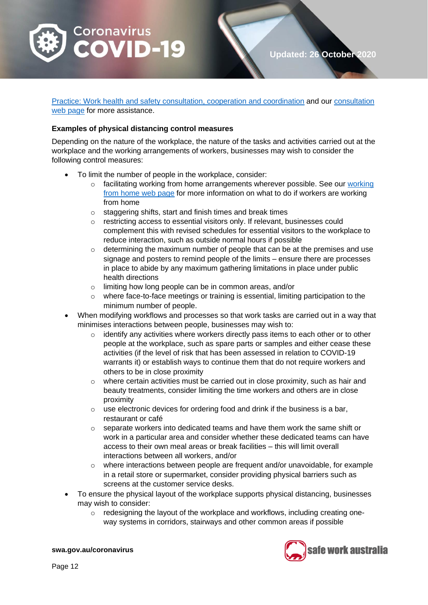

[Practice: Work health and safety consultation, cooperation and coordination](https://www.safeworkaustralia.gov.au/doc/model-code-practice-work-health-and-safety-consultation-cooperation-and-coordination) and our [consultation](https://www.safeworkaustralia.gov.au/covid-19-information-workplaces/industry-information/general-industry-information/consultation)  web [page](https://www.safeworkaustralia.gov.au/covid-19-information-workplaces/industry-information/general-industry-information/consultation) for more assistance.

#### **Examples of physical distancing control measures**

Depending on the nature of the workplace, the nature of the tasks and activities carried out at the workplace and the working arrangements of workers, businesses may wish to consider the following control measures:

- To limit the number of people in the workplace, consider:
	- o facilitating [working](https://www.safeworkaustralia.gov.au/covid-19-information-workplaces/industry-information/general-industry-information/working-home) from home arrangements wherever possible. See our working [from home web page](https://www.safeworkaustralia.gov.au/covid-19-information-workplaces/industry-information/general-industry-information/working-home) for more information on what to do if workers are working from home
	- $\circ$  staggering shifts, start and finish times and break times
	- o restricting access to essential visitors only. If relevant, businesses could complement this with revised schedules for essential visitors to the workplace to reduce interaction, such as outside normal hours if possible
	- $\circ$  determining the maximum number of people that can be at the premises and use signage and posters to remind people of the limits – ensure there are processes in place to abide by any maximum gathering limitations in place under public health directions
	- o limiting how long people can be in common areas, and/or
	- o where face-to-face meetings or training is essential, limiting participation to the minimum number of people.
- When modifying workflows and processes so that work tasks are carried out in a way that minimises interactions between people, businesses may wish to:
	- o identify any activities where workers directly pass items to each other or to other people at the workplace, such as spare parts or samples and either cease these activities (if the level of risk that has been assessed in relation to COVID-19 warrants it) or establish ways to continue them that do not require workers and others to be in close proximity
	- o where certain activities must be carried out in close proximity, such as hair and beauty treatments, consider limiting the time workers and others are in close proximity
	- $\circ$  use electronic devices for ordering food and drink if the business is a bar, restaurant or café
	- $\circ$  separate workers into dedicated teams and have them work the same shift or work in a particular area and consider whether these dedicated teams can have access to their own meal areas or break facilities – this will limit overall interactions between all workers, and/or
	- $\circ$  where interactions between people are frequent and/or unavoidable, for example in a retail store or supermarket, consider providing physical barriers such as screens at the customer service desks.
- To ensure the physical layout of the workplace supports physical distancing, businesses may wish to consider:
	- $\circ$  redesigning the layout of the workplace and workflows, including creating oneway systems in corridors, stairways and other common areas if possible

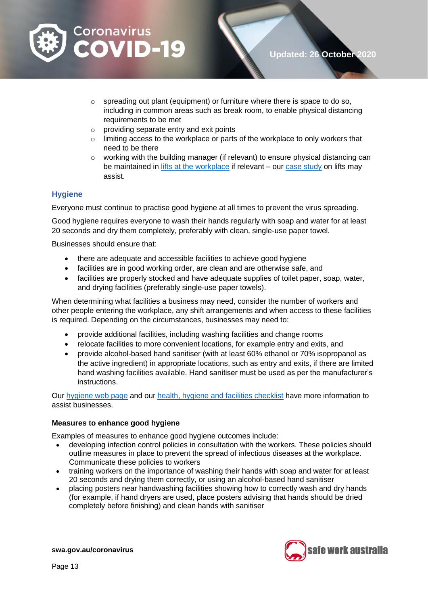

- o spreading out plant (equipment) or furniture where there is space to do so, including in common areas such as break room, to enable physical distancing requirements to be met
- o providing separate entry and exit points
- o limiting access to the workplace or parts of the workplace to only workers that need to be there
- $\circ$  working with the building manager (if relevant) to ensure physical distancing can be maintained in [lifts at the workplace](https://www.safeworkaustralia.gov.au/covid-19-information-workplaces/industry-information/general-industry-information/physical#heading--8--tab-toc-lifts) if relevant – our [case study](https://www.safeworkaustralia.gov.au/covid-19-information-workplaces/industry-information/general-industry-information/physical#heading--1--tab-toc-case_study –_lifts) on lifts may assist.

#### **Hygiene**

Everyone must continue to practise good hygiene at all times to prevent the virus spreading.

Good hygiene requires everyone to wash their hands regularly with soap and water for at least 20 seconds and dry them completely, preferably with clean, single-use paper towel.

Businesses should ensure that:

- there are adequate and accessible facilities to achieve good hygiene
- facilities are in good working order, are clean and are otherwise safe, and
- facilities are properly stocked and have adequate supplies of toilet paper, soap, water, and drying facilities (preferably single-use paper towels).

When determining what facilities a business may need, consider the number of workers and other people entering the workplace, any shift arrangements and when access to these facilities is required. Depending on the circumstances, businesses may need to:

- provide additional facilities, including washing facilities and change rooms
- relocate facilities to more convenient locations, for example entry and exits, and
- provide alcohol-based hand sanitiser (with at least 60% ethanol or 70% isopropanol as the active ingredient) in appropriate locations, such as entry and exits, if there are limited hand washing facilities available. Hand sanitiser must be used as per the manufacturer's instructions.

Our [hygiene web](https://www.safeworkaustralia.gov.au/covid-19-information-workplaces/industry-information/general-industry-information/hygiene) page and our [health, hygiene and facilities checklist](https://www.safeworkaustralia.gov.au/doc/health-hygiene-facilities-checklist-covid-19) have more information to assist businesses.

#### **Measures to enhance good hygiene**

Examples of measures to enhance good hygiene outcomes include:

- developing infection control policies in consultation with the workers. These policies should outline measures in place to prevent the spread of infectious diseases at the workplace. Communicate these policies to workers
- training workers on the importance of washing their hands with soap and water for at least 20 seconds and drying them correctly, or using an alcohol-based hand sanitiser
- placing posters near handwashing facilities showing how to correctly wash and dry hands (for example, if hand dryers are used, place posters advising that hands should be dried completely before finishing) and clean hands with sanitiser

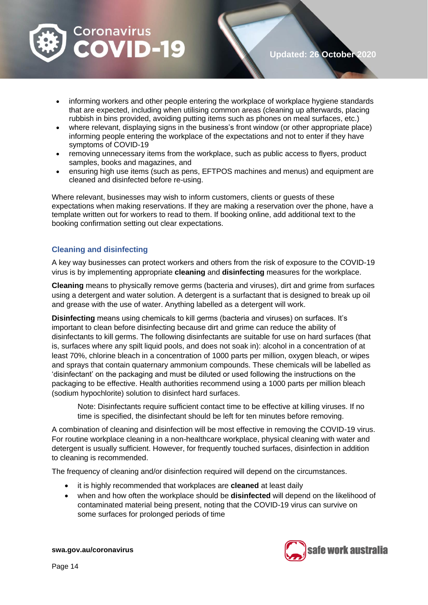

- informing workers and other people entering the workplace of workplace hygiene standards that are expected, including when utilising common areas (cleaning up afterwards, placing rubbish in bins provided, avoiding putting items such as phones on meal surfaces, etc.)
- where relevant, displaying signs in the business's front window (or other appropriate place) informing people entering the workplace of the expectations and not to enter if they have symptoms of COVID-19
- removing unnecessary items from the workplace, such as public access to flyers, product samples, books and magazines, and
- ensuring high use items (such as pens, EFTPOS machines and menus) and equipment are cleaned and disinfected before re-using.

Where relevant, businesses may wish to inform customers, clients or guests of these expectations when making reservations. If they are making a reservation over the phone, have a template written out for workers to read to them. If booking online, add additional text to the booking confirmation setting out clear expectations.

#### **Cleaning and disinfecting**

A key way businesses can protect workers and others from the risk of exposure to the COVID-19 virus is by implementing appropriate **cleaning** and **disinfecting** measures for the workplace.

**Cleaning** means to physically remove germs (bacteria and viruses), dirt and grime from surfaces using a detergent and water solution. A detergent is a surfactant that is designed to break up oil and grease with the use of water. Anything labelled as a detergent will work.

**Disinfecting** means using chemicals to kill germs (bacteria and viruses) on surfaces. It's important to clean before disinfecting because dirt and grime can reduce the ability of disinfectants to kill germs. The following disinfectants are suitable for use on hard surfaces (that is, surfaces where any spilt liquid pools, and does not soak in): alcohol in a concentration of at least 70%, chlorine bleach in a concentration of 1000 parts per million, oxygen bleach, or wipes and sprays that contain quaternary ammonium compounds. These chemicals will be labelled as 'disinfectant' on the packaging and must be diluted or used following the instructions on the packaging to be effective. Health authorities recommend using a 1000 parts per million bleach (sodium hypochlorite) solution to disinfect hard surfaces.

Note: Disinfectants require sufficient contact time to be effective at killing viruses. If no time is specified, the disinfectant should be left for ten minutes before removing.

A combination of cleaning and disinfection will be most effective in removing the COVID-19 virus. For routine workplace cleaning in a non-healthcare workplace, physical cleaning with water and detergent is usually sufficient. However, for frequently touched surfaces, disinfection in addition to cleaning is recommended.

The frequency of cleaning and/or disinfection required will depend on the circumstances.

- it is highly recommended that workplaces are **cleaned** at least daily
- when and how often the workplace should be **disinfected** will depend on the likelihood of contaminated material being present, noting that the COVID-19 virus can survive on some surfaces for prolonged periods of time

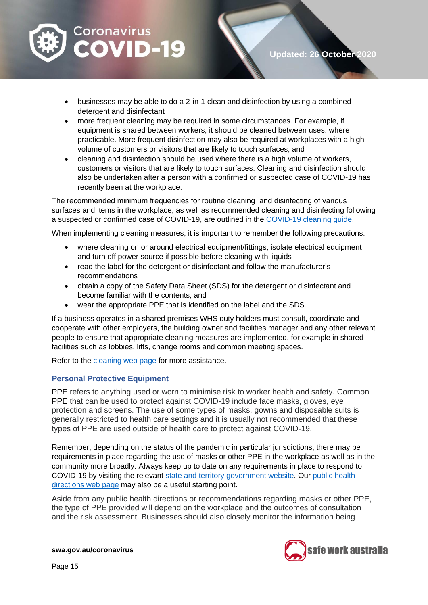

- businesses may be able to do a 2-in-1 clean and disinfection by using a combined detergent and disinfectant
- more frequent cleaning may be required in some circumstances. For example, if equipment is shared between workers, it should be cleaned between uses, where practicable. More frequent disinfection may also be required at workplaces with a high volume of customers or visitors that are likely to touch surfaces, and
- cleaning and disinfection should be used where there is a high volume of workers, customers or visitors that are likely to touch surfaces. Cleaning and disinfection should also be undertaken after a person with a confirmed or suspected case of COVID-19 has recently been at the workplace.

The recommended minimum frequencies for routine cleaning and disinfecting of various surfaces and items in the workplace, as well as recommended cleaning and disinfecting following a suspected or confirmed case of COVID-19, are outlined in the [COVID-19 cleaning guide.](https://www.safeworkaustralia.gov.au/doc/how-clean-and-disinfect-your-workplace-covid-19)

When implementing cleaning measures, it is important to remember the following precautions:

- where cleaning on or around electrical equipment/fittings, isolate electrical equipment and turn off power source if possible before cleaning with liquids
- read the label for the detergent or disinfectant and follow the manufacturer's recommendations
- obtain a copy of the Safety Data Sheet (SDS) for the detergent or disinfectant and become familiar with the contents, and
- wear the appropriate PPE that is identified on the label and the SDS.

If a business operates in a shared premises WHS duty holders must consult, coordinate and cooperate with other employers, the building owner and facilities manager and any other relevant people to ensure that appropriate cleaning measures are implemented, for example in shared facilities such as lobbies, lifts, change rooms and common meeting spaces.

Refer to the [cleaning web](https://www.safeworkaustralia.gov.au/covid-19-information-workplaces/industry-information/general-industry-information/cleaning) page for more assistance.

#### **Personal Protective Equipment**

PPE refers to anything used or worn to minimise risk to worker health and safety. Common PPE that can be used to protect against COVID-19 include face masks, gloves, eye protection and screens. The use of some types of masks, gowns and disposable suits is generally restricted to health care settings and it is usually not recommended that these types of PPE are used outside of health care to protect against COVID-19.

Remember, depending on the status of the pandemic in particular jurisdictions, there may be requirements in place regarding the use of masks or other PPE in the workplace as well as in the community more broadly. Always keep up to date on any requirements in place to respond to COVID-19 by visiting the relevant [state and territory government website.](https://www.australia.gov.au/#state-and-territory-government-information) Our [public health](https://www.safeworkaustralia.gov.au/covid-19-information-workplaces/other-resources/covid-19-public-health-directions-and-covidsafe)  [directions web](https://www.safeworkaustralia.gov.au/covid-19-information-workplaces/other-resources/covid-19-public-health-directions-and-covidsafe) page may also be a useful starting point.

Aside from any public health directions or recommendations regarding masks or other PPE, the type of PPE provided will depend on the workplace and the outcomes of consultation and the risk assessment. Businesses should also closely monitor the information being

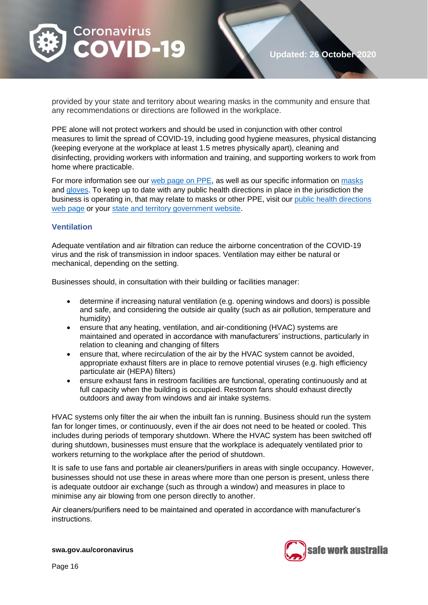

provided by your state and territory about wearing masks in the community and ensure that any recommendations or directions are followed in the workplace.

PPE alone will not protect workers and should be used in conjunction with other control measures to limit the spread of COVID-19, including good hygiene measures, physical distancing (keeping everyone at the workplace at least 1.5 metres physically apart), cleaning and disinfecting, providing workers with information and training, and supporting workers to work from home where practicable.

For more information see our web [page on PPE,](https://www.safeworkaustralia.gov.au/covid-19-information-workplaces/industry-information/general-industry-information/ppe) as well as our specific information o[n masks](https://www.safeworkaustralia.gov.au/covid-19-information-workplaces/industry-information/general-industry-information/masks) and [gloves.](https://www.safeworkaustralia.gov.au/covid-19-information-workplaces/industry-information/general-industry-information/gloves) To keep up to date with any public health directions in place in the jurisdiction the business is operating in, that may relate to masks or other PPE, visit our [public health directions](https://www.safeworkaustralia.gov.au/covid-19-information-workplaces/other-resources/covid-19-public-health-directions-and-covidsafe)  web [page](https://www.safeworkaustralia.gov.au/covid-19-information-workplaces/other-resources/covid-19-public-health-directions-and-covidsafe) or your [state and territory government website.](https://www.australia.gov.au/#state-and-territory-government-information)

#### **Ventilation**

Adequate ventilation and air filtration can reduce the airborne concentration of the COVID-19 virus and the risk of transmission in indoor spaces. Ventilation may either be natural or mechanical, depending on the setting.

Businesses should, in consultation with their building or facilities manager:

- determine if increasing natural ventilation (e.g. opening windows and doors) is possible and safe, and considering the outside air quality (such as air pollution, temperature and humidity)
- ensure that any heating, ventilation, and air-conditioning (HVAC) systems are maintained and operated in accordance with manufacturers' instructions, particularly in relation to cleaning and changing of filters
- ensure that, where recirculation of the air by the HVAC system cannot be avoided. appropriate exhaust filters are in place to remove potential viruses (e.g. high efficiency particulate air (HEPA) filters)
- ensure exhaust fans in restroom facilities are functional, operating continuously and at full capacity when the building is occupied. Restroom fans should exhaust directly outdoors and away from windows and air intake systems.

HVAC systems only filter the air when the inbuilt fan is running. Business should run the system fan for longer times, or continuously, even if the air does not need to be heated or cooled. This includes during periods of temporary shutdown. Where the HVAC system has been switched off during shutdown, businesses must ensure that the workplace is adequately ventilated prior to workers returning to the workplace after the period of shutdown.

It is safe to use fans and portable air cleaners/purifiers in areas with single occupancy. However, businesses should not use these in areas where more than one person is present, unless there is adequate outdoor air exchange (such as through a window) and measures in place to minimise any air blowing from one person directly to another.

Air cleaners/purifiers need to be maintained and operated in accordance with manufacturer's instructions.

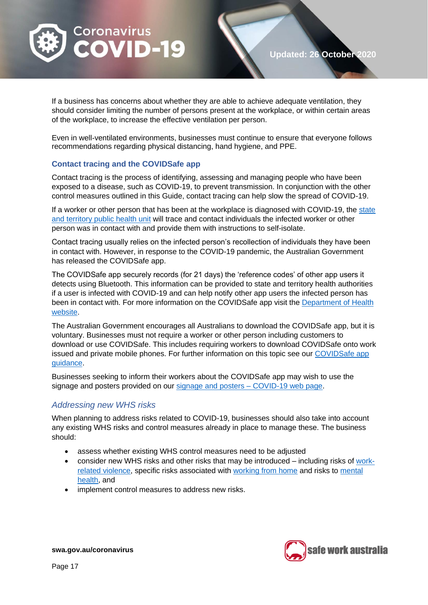

If a business has concerns about whether they are able to achieve adequate ventilation, they should consider limiting the number of persons present at the workplace, or within certain areas of the workplace, to increase the effective ventilation per person.

Even in well-ventilated environments, businesses must continue to ensure that everyone follows recommendations regarding physical distancing, hand hygiene, and PPE.

#### **Contact tracing and the COVIDSafe app**

Contact tracing is the process of identifying, assessing and managing people who have been exposed to a disease, such as COVID-19, to prevent transmission. In conjunction with the other control measures outlined in this Guide, contact tracing can help slow the spread of COVID-19.

If a worker or other person that has been at the workplace is diagnosed with COVID-19, the [state](https://www.health.gov.au/about-us/contact-us/local-state-and-territory-health-departments)  [and territory public health unit](https://www.health.gov.au/about-us/contact-us/local-state-and-territory-health-departments) will trace and contact individuals the infected worker or other person was in contact with and provide them with instructions to self-isolate.

Contact tracing usually relies on the infected person's recollection of individuals they have been in contact with. However, in response to the COVID-19 pandemic, the Australian Government has released the COVIDSafe app.

The COVIDSafe app securely records (for 21 days) the 'reference codes' of other app users it detects using Bluetooth. This information can be provided to state and territory health authorities if a user is infected with COVID-19 and can help notify other app users the infected person has been in contact with. For more information on the COVIDSafe app visit the [Department of Health](https://www.health.gov.au/resources/apps-and-tools/covidsafe-app?gclid=EAIaIQobChMIsr2KxPbS6gIVGR4rCh2MkwjCEAAYASAAEgKmevD_BwE)  [website.](https://www.health.gov.au/resources/apps-and-tools/covidsafe-app?gclid=EAIaIQobChMIsr2KxPbS6gIVGR4rCh2MkwjCEAAYASAAEgKmevD_BwE)

The Australian Government encourages all Australians to download the COVIDSafe app, but it is voluntary. Businesses must not require a worker or other person including customers to download or use COVIDSafe. This includes requiring workers to download COVIDSafe onto work issued and private mobile phones. For further information on this topic see our [COVIDSafe app](https://www.safeworkaustralia.gov.au/covid-19-information-workplaces/other-resources/covidsafe-app-guidance)  [guidance.](https://www.safeworkaustralia.gov.au/covid-19-information-workplaces/other-resources/covidsafe-app-guidance)

Businesses seeking to inform their workers about the COVIDSafe app may wish to use the signage and posters provided on our [signage and posters –](https://www.safeworkaustralia.gov.au/doc/signage-and-posters-covid-19) COVID-19 web page.

#### <span id="page-16-0"></span>*Addressing new WHS risks*

When planning to address risks related to COVID-19, businesses should also take into account any existing WHS risks and control measures already in place to manage these. The business should:

- assess whether existing WHS control measures need to be adjusted
- consider new WHS risks and other risks that may be introduced including risks of [work](https://www.safeworkaustralia.gov.au/covid-19-information-workplaces/industry-information/general-industry-information/work-related)[related violence,](https://www.safeworkaustralia.gov.au/covid-19-information-workplaces/industry-information/general-industry-information/work-related) specific risks associated with [working from home](https://www.safeworkaustralia.gov.au/covid-19-information-workplaces/industry-information/general-industry-information/working-home) and risks to [mental](https://www.safeworkaustralia.gov.au/covid-19-information-workplaces/industry-information/general-industry-information/mental-health)  [health,](https://www.safeworkaustralia.gov.au/covid-19-information-workplaces/industry-information/general-industry-information/mental-health) and
- implement control measures to address new risks.

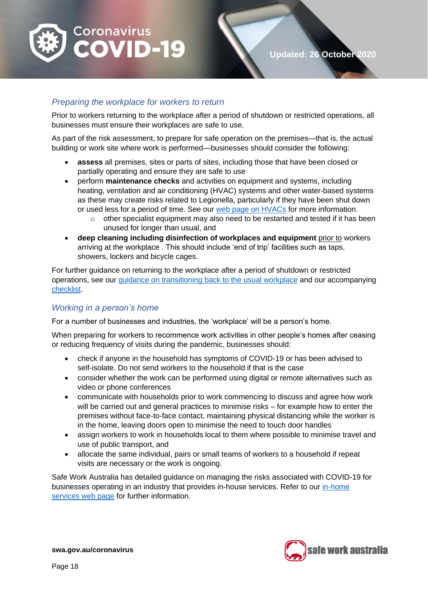

#### <span id="page-17-0"></span>*Preparing the workplace for workers to return*

Prior to workers returning to the workplace after a period of shutdown or restricted operations, all businesses must ensure their workplaces are safe to use.

As part of the risk assessment, to prepare for safe operation on the premises—that is, the actual building or work site where work is performed—businesses should consider the following:

- **assess** all premises, sites or parts of sites, including those that have been closed or partially operating and ensure they are safe to use
- perform **maintenance checks** and activities on equipment and systems, including heating, ventilation and air conditioning (HVAC) systems and other water-based systems as these may create risks related to Legionella, particularly if they have been shut down or used less for a period of time. See our web [page on HVACs](https://www.safeworkaustralia.gov.au/covid-19-information-workplaces/other-resources/heating-ventilation-and-air-conditioning-hvac) for more information.
	- $\circ$  other specialist equipment may also need to be restarted and tested if it has been unused for longer than usual, and
- **deep cleaning including disinfection of workplaces and equipment** prior to workers arriving at the workplace . This should include 'end of trip' facilities such as taps, showers, lockers and bicycle cages.

For further guidance on returning to the workplace after a period of shutdown or restricted operations, see our [guidance on transitioning back to the usual workplace](https://www.safeworkaustralia.gov.au/covid-19-information-workplaces/other-resources/transitioning-back-usual-workplaces) and our accompanying [checklist.](https://www.safeworkaustralia.gov.au/doc/transitioning-back-usual-workplaces-checklist-covid-19)

#### <span id="page-17-1"></span>*Working in a person's home*

For a number of businesses and industries, the 'workplace' will be a person's home.

When preparing for workers to recommence work activities in other people's homes after ceasing or reducing frequency of visits during the pandemic, businesses should:

- check if anyone in the household has symptoms of COVID-19 or has been advised to self-isolate. Do not send workers to the household if that is the case
- consider whether the work can be performed using digital or remote alternatives such as video or phone conferences
- communicate with households prior to work commencing to discuss and agree how work will be carried out and general practices to minimise risks – for example how to enter the premises without face-to-face contact, maintaining physical distancing while the worker is in the home, leaving doors open to minimise the need to touch door handles
- assign workers to work in households local to them where possible to minimise travel and use of public transport, and
- allocate the same individual, pairs or small teams of workers to a household if repeat visits are necessary or the work is ongoing.

Safe Work Australia has detailed guidance on managing the risks associated with COVID-19 for businesses operating in an industry that provides in-house services. Refer to our [in-home](https://www.safeworkaustralia.gov.au/covid-19-information-workplaces/industry-information/home-services)  [services web page](https://www.safeworkaustralia.gov.au/covid-19-information-workplaces/industry-information/home-services) for further information.

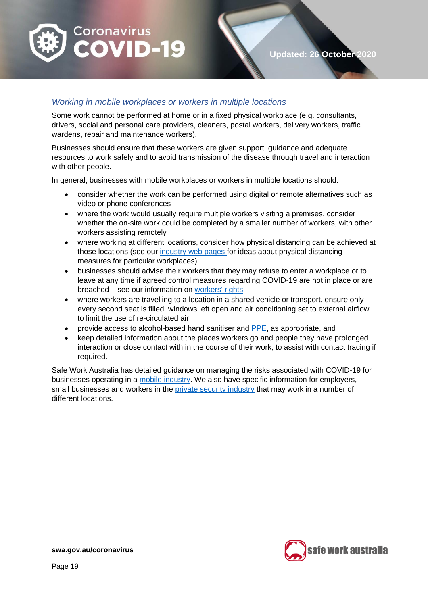

#### <span id="page-18-0"></span>*Working in mobile workplaces or workers in multiple locations*

Some work cannot be performed at home or in a fixed physical workplace (e.g. consultants, drivers, social and personal care providers, cleaners, postal workers, delivery workers, traffic wardens, repair and maintenance workers).

Businesses should ensure that these workers are given support, guidance and adequate resources to work safely and to avoid transmission of the disease through travel and interaction with other people.

In general, businesses with mobile workplaces or workers in multiple locations should:

- consider whether the work can be performed using digital or remote alternatives such as video or phone conferences
- where the work would usually require multiple workers visiting a premises, consider whether the on-site work could be completed by a smaller number of workers, with other workers assisting remotely
- where working at different locations, consider how physical distancing can be achieved at those locations (see our [industry web](https://www.safeworkaustralia.gov.au/covid-19-information-workplaces) pages for ideas about physical distancing measures for particular workplaces)
- businesses should advise their workers that they may refuse to enter a workplace or to leave at any time if agreed control measures regarding COVID-19 are not in place or are breached – see our information on [workers' rights](https://www.safeworkaustralia.gov.au/covid-19-information-workplaces/industry-information/general-industry-information/workers-rights)
- where workers are travelling to a location in a shared vehicle or transport, ensure only every second seat is filled, windows left open and air conditioning set to external airflow to limit the use of re-circulated air
- provide access to alcohol-based hand sanitiser and [PPE,](https://www.safeworkaustralia.gov.au/covid-19-information-workplaces/industry-information/general-industry-information/ppe) as appropriate, and
- keep detailed information about the places workers go and people they have prolonged interaction or close contact with in the course of their work, to assist with contact tracing if required.

Safe Work Australia has detailed guidance on managing the risks associated with COVID-19 for businesses operating in a [mobile industry.](https://www.safeworkaustralia.gov.au/covid-19-information-workplaces/industry-information/mobile-consultants-and-client-engagement) We also have specific information for employers, small businesses and workers in the [private security industry](https://www.safeworkaustralia.gov.au/covid-19-information-workplaces/industry-information/private-security) that may work in a number of different locations.

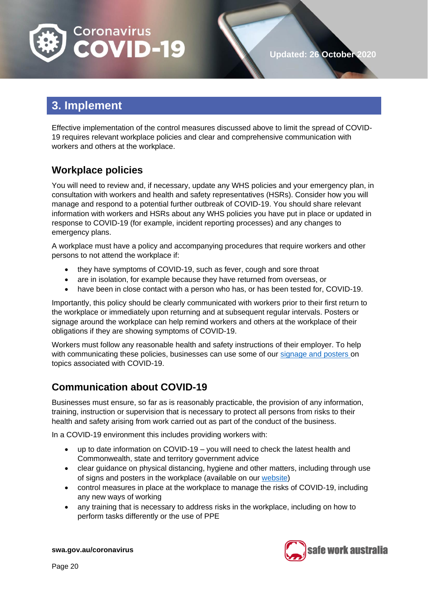

# <span id="page-19-0"></span>**3. Implement**

Effective implementation of the control measures discussed above to limit the spread of COVID-19 requires relevant workplace policies and clear and comprehensive communication with workers and others at the workplace.

## <span id="page-19-1"></span>**Workplace policies**

You will need to review and, if necessary, update any WHS policies and your emergency plan, in consultation with workers and health and safety representatives (HSRs). Consider how you will manage and respond to a potential further outbreak of COVID-19. You should share relevant information with workers and HSRs about any WHS policies you have put in place or updated in response to COVID-19 (for example, incident reporting processes) and any changes to emergency plans.

A workplace must have a policy and accompanying procedures that require workers and other persons to not attend the workplace if:

- they have symptoms of COVID-19, such as fever, cough and sore throat
- are in isolation, for example because they have returned from overseas, or
- have been in close contact with a person who has, or has been tested for, COVID-19.

Importantly, this policy should be clearly communicated with workers prior to their first return to the workplace or immediately upon returning and at subsequent regular intervals. Posters or signage around the workplace can help remind workers and others at the workplace of their obligations if they are showing symptoms of COVID-19.

Workers must follow any reasonable health and safety instructions of their employer. To help with communicating these policies, businesses can use some of our [signage and posters](https://www.safeworkaustralia.gov.au/doc/signage-and-posters-covid-19) on topics associated with COVID-19.

## <span id="page-19-2"></span>**Communication about COVID-19**

Businesses must ensure, so far as is reasonably practicable, the provision of any information, training, instruction or supervision that is necessary to protect all persons from risks to their health and safety arising from work carried out as part of the conduct of the business.

In a COVID-19 environment this includes providing workers with:

- up to date information on COVID-19 you will need to check the latest health and Commonwealth, state and territory government advice
- clear guidance on physical distancing, hygiene and other matters, including through use of signs and posters in the workplace (available on our [website\)](https://www.safeworkaustralia.gov.au/doc/signage-and-posters-covid-19)
- control measures in place at the workplace to manage the risks of COVID-19, including any new ways of working
- any training that is necessary to address risks in the workplace, including on how to perform tasks differently or the use of PPE

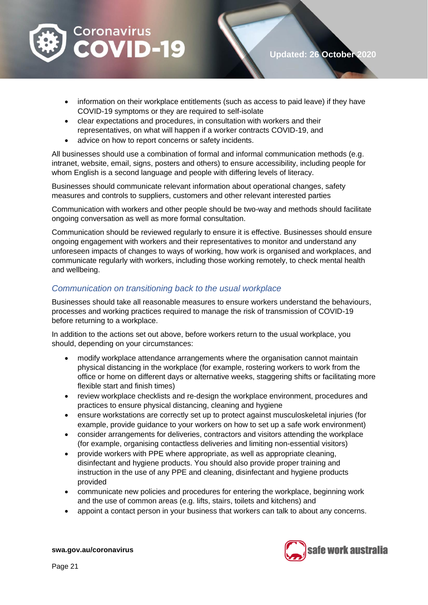

- information on their workplace entitlements (such as access to paid leave) if they have COVID-19 symptoms or they are required to self-isolate
- clear expectations and procedures, in consultation with workers and their representatives, on what will happen if a worker contracts COVID-19, and
- advice on how to report concerns or safety incidents.

All businesses should use a combination of formal and informal communication methods (e.g. intranet, website, email, signs, posters and others) to ensure accessibility, including people for whom English is a second language and people with differing levels of literacy.

Businesses should communicate relevant information about operational changes, safety measures and controls to suppliers, customers and other relevant interested parties

Communication with workers and other people should be two-way and methods should facilitate ongoing conversation as well as more formal consultation.

Communication should be reviewed regularly to ensure it is effective. Businesses should ensure ongoing engagement with workers and their representatives to monitor and understand any unforeseen impacts of changes to ways of working, how work is organised and workplaces, and communicate regularly with workers, including those working remotely, to check mental health and wellbeing.

#### <span id="page-20-0"></span>*Communication on transitioning back to the usual workplace*

Businesses should take all reasonable measures to ensure workers understand the behaviours, processes and working practices required to manage the risk of transmission of COVID-19 before returning to a workplace.

In addition to the actions set out above, before workers return to the usual workplace, you should, depending on your circumstances:

- modify workplace attendance arrangements where the organisation cannot maintain physical distancing in the workplace (for example, rostering workers to work from the office or home on different days or alternative weeks, staggering shifts or facilitating more flexible start and finish times)
- review workplace checklists and re-design the workplace environment, procedures and practices to ensure physical distancing, cleaning and hygiene
- ensure workstations are correctly set up to protect against musculoskeletal injuries (for example, provide guidance to your workers on how to set up a safe work environment)
- consider arrangements for deliveries, contractors and visitors attending the workplace (for example, organising contactless deliveries and limiting non-essential visitors)
- provide workers with PPE where appropriate, as well as appropriate cleaning, disinfectant and hygiene products. You should also provide proper training and instruction in the use of any PPE and cleaning, disinfectant and hygiene products provided
- communicate new policies and procedures for entering the workplace, beginning work and the use of common areas (e.g. lifts, stairs, toilets and kitchens) and
- appoint a contact person in your business that workers can talk to about any concerns.

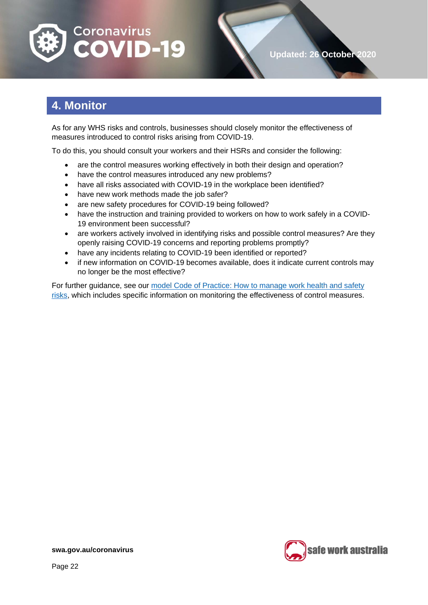

# <span id="page-21-0"></span>**4. Monitor**

As for any WHS risks and controls, businesses should closely monitor the effectiveness of measures introduced to control risks arising from COVID-19.

To do this, you should consult your workers and their HSRs and consider the following:

- are the control measures working effectively in both their design and operation?
- have the control measures introduced any new problems?
- have all risks associated with COVID-19 in the workplace been identified?
- have new work methods made the job safer?
- are new safety procedures for COVID-19 being followed?
- have the instruction and training provided to workers on how to work safely in a COVID-19 environment been successful?
- are workers actively involved in identifying risks and possible control measures? Are they openly raising COVID-19 concerns and reporting problems promptly?
- have any incidents relating to COVID-19 been identified or reported?
- if new information on COVID-19 becomes available, does it indicate current controls may no longer be the most effective?

For further guidance, see our [model Code of Practice: How to manage work health and safety](https://www.safeworkaustralia.gov.au/doc/model-code-practice-how-manage-work-health-and-safety-risks)  [risks,](https://www.safeworkaustralia.gov.au/doc/model-code-practice-how-manage-work-health-and-safety-risks) which includes specific information on monitoring the effectiveness of control measures.